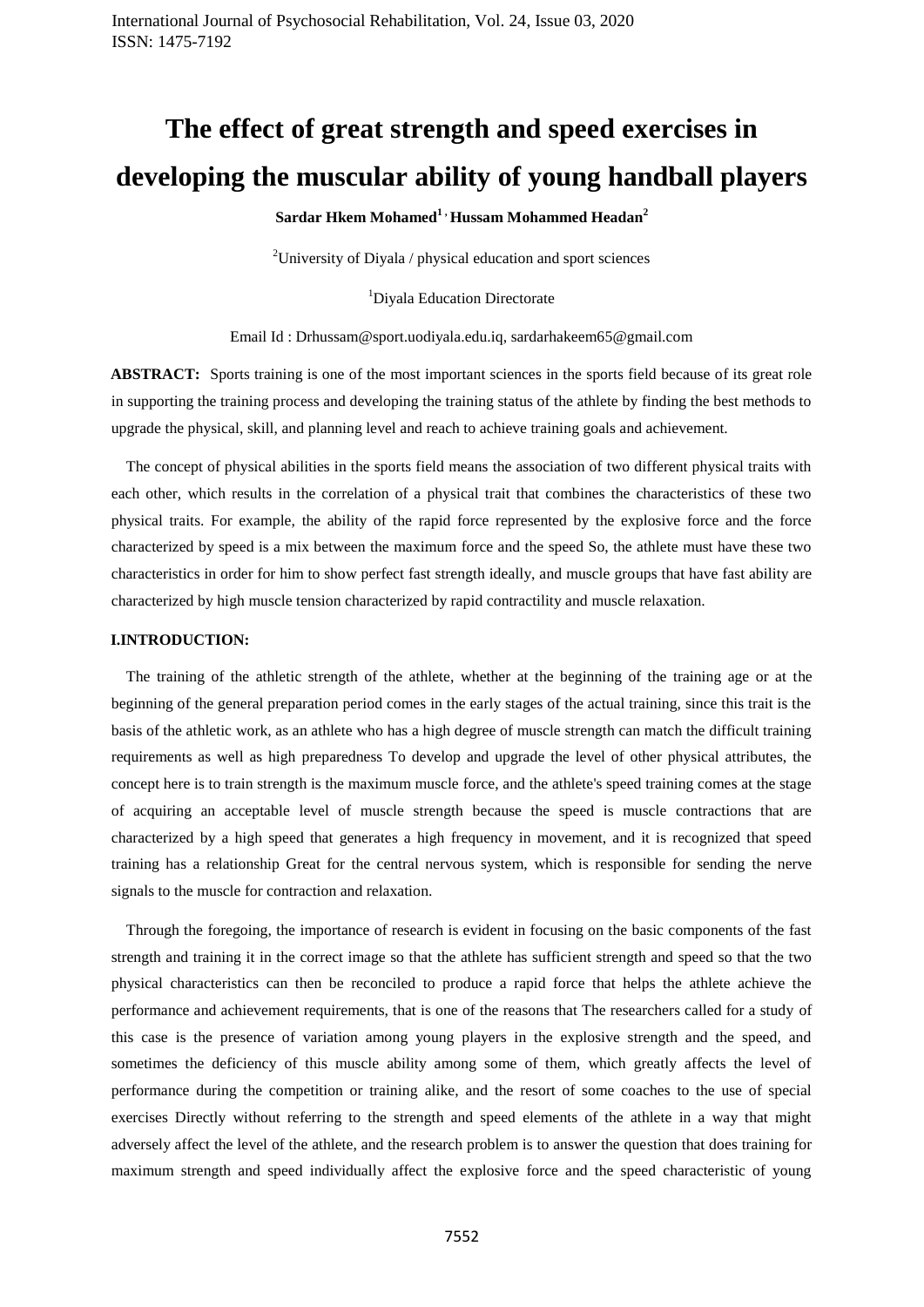# **The effect of great strength and speed exercises in developing the muscular ability of young handball players**

# **Sardar Hkem Mohamed1 , Hussam Mohammed Headan<sup>2</sup>**

<sup>2</sup>University of Diyala / physical education and sport sciences

<sup>1</sup>Diyala Education Directorate

Email Id : Drhussam@sport.uodiyala.edu.iq, sardarhakeem65@gmail.com

**ABSTRACT:** Sports training is one of the most important sciences in the sports field because of its great role in supporting the training process and developing the training status of the athlete by finding the best methods to upgrade the physical, skill, and planning level and reach to achieve training goals and achievement.

 The concept of physical abilities in the sports field means the association of two different physical traits with each other, which results in the correlation of a physical trait that combines the characteristics of these two physical traits. For example, the ability of the rapid force represented by the explosive force and the force characterized by speed is a mix between the maximum force and the speed So, the athlete must have these two characteristics in order for him to show perfect fast strength ideally, and muscle groups that have fast ability are characterized by high muscle tension characterized by rapid contractility and muscle relaxation.

## **I.INTRODUCTION:**

 The training of the athletic strength of the athlete, whether at the beginning of the training age or at the beginning of the general preparation period comes in the early stages of the actual training, since this trait is the basis of the athletic work, as an athlete who has a high degree of muscle strength can match the difficult training requirements as well as high preparedness To develop and upgrade the level of other physical attributes, the concept here is to train strength is the maximum muscle force, and the athlete's speed training comes at the stage of acquiring an acceptable level of muscle strength because the speed is muscle contractions that are characterized by a high speed that generates a high frequency in movement, and it is recognized that speed training has a relationship Great for the central nervous system, which is responsible for sending the nerve signals to the muscle for contraction and relaxation.

 Through the foregoing, the importance of research is evident in focusing on the basic components of the fast strength and training it in the correct image so that the athlete has sufficient strength and speed so that the two physical characteristics can then be reconciled to produce a rapid force that helps the athlete achieve the performance and achievement requirements, that is one of the reasons that The researchers called for a study of this case is the presence of variation among young players in the explosive strength and the speed, and sometimes the deficiency of this muscle ability among some of them, which greatly affects the level of performance during the competition or training alike, and the resort of some coaches to the use of special exercises Directly without referring to the strength and speed elements of the athlete in a way that might adversely affect the level of the athlete, and the research problem is to answer the question that does training for maximum strength and speed individually affect the explosive force and the speed characteristic of young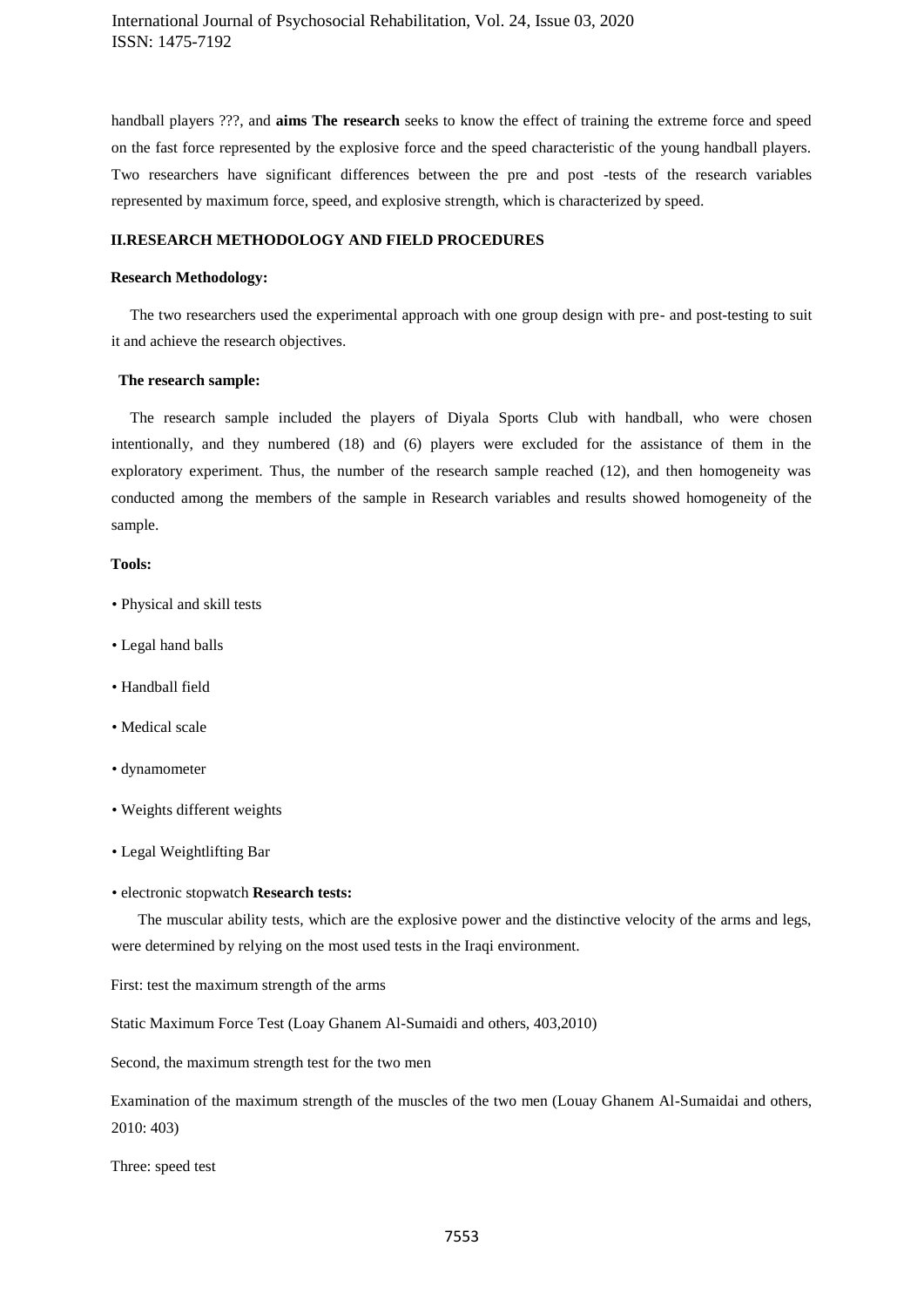handball players ???, and **aims The research** seeks to know the effect of training the extreme force and speed on the fast force represented by the explosive force and the speed characteristic of the young handball players. Two researchers have significant differences between the pre and post -tests of the research variables represented by maximum force, speed, and explosive strength, which is characterized by speed.

## **II.RESEARCH METHODOLOGY AND FIELD PROCEDURES**

#### **Research Methodology:**

 The two researchers used the experimental approach with one group design with pre- and post-testing to suit it and achieve the research objectives.

#### **The research sample:**

 The research sample included the players of Diyala Sports Club with handball, who were chosen intentionally, and they numbered (18) and (6) players were excluded for the assistance of them in the exploratory experiment. Thus, the number of the research sample reached (12), and then homogeneity was conducted among the members of the sample in Research variables and results showed homogeneity of the sample.

## **Tools:**

- Physical and skill tests
- Legal hand balls
- Handball field
- Medical scale
- dynamometer
- Weights different weights
- Legal Weightlifting Bar

#### • electronic stopwatch **Research tests:**

 The muscular ability tests, which are the explosive power and the distinctive velocity of the arms and legs, were determined by relying on the most used tests in the Iraqi environment.

First: test the maximum strength of the arms

Static Maximum Force Test (Loay Ghanem Al-Sumaidi and others, 403,2010)

Second, the maximum strength test for the two men

Examination of the maximum strength of the muscles of the two men (Louay Ghanem Al-Sumaidai and others, 2010: 403)

Three: speed test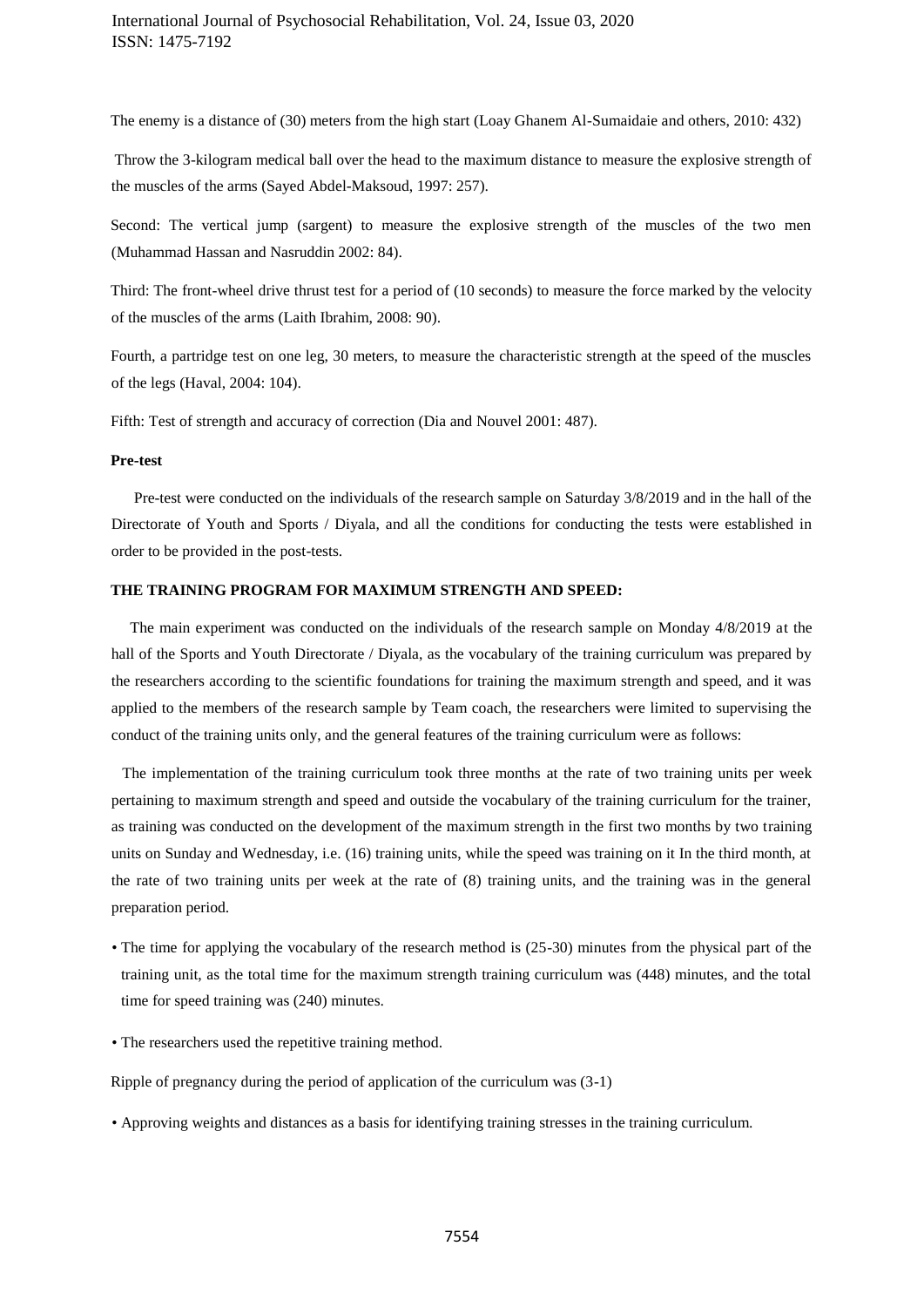The enemy is a distance of (30) meters from the high start (Loay Ghanem Al-Sumaidaie and others, 2010: 432)

Throw the 3-kilogram medical ball over the head to the maximum distance to measure the explosive strength of the muscles of the arms (Sayed Abdel-Maksoud, 1997: 257).

Second: The vertical jump (sargent) to measure the explosive strength of the muscles of the two men (Muhammad Hassan and Nasruddin 2002: 84).

Third: The front-wheel drive thrust test for a period of (10 seconds) to measure the force marked by the velocity of the muscles of the arms (Laith Ibrahim, 2008: 90).

Fourth, a partridge test on one leg, 30 meters, to measure the characteristic strength at the speed of the muscles of the legs (Haval, 2004: 104).

Fifth: Test of strength and accuracy of correction (Dia and Nouvel 2001: 487).

#### **Pre-test**

 Pre-test were conducted on the individuals of the research sample on Saturday 3/8/2019 and in the hall of the Directorate of Youth and Sports / Diyala, and all the conditions for conducting the tests were established in order to be provided in the post-tests.

## **THE TRAINING PROGRAM FOR MAXIMUM STRENGTH AND SPEED:**

 The main experiment was conducted on the individuals of the research sample on Monday 4/8/2019 at the hall of the Sports and Youth Directorate / Diyala, as the vocabulary of the training curriculum was prepared by the researchers according to the scientific foundations for training the maximum strength and speed, and it was applied to the members of the research sample by Team coach, the researchers were limited to supervising the conduct of the training units only, and the general features of the training curriculum were as follows:

 The implementation of the training curriculum took three months at the rate of two training units per week pertaining to maximum strength and speed and outside the vocabulary of the training curriculum for the trainer, as training was conducted on the development of the maximum strength in the first two months by two training units on Sunday and Wednesday, i.e. (16) training units, while the speed was training on it In the third month, at the rate of two training units per week at the rate of (8) training units, and the training was in the general preparation period.

- The time for applying the vocabulary of the research method is (25-30) minutes from the physical part of the training unit, as the total time for the maximum strength training curriculum was (448) minutes, and the total time for speed training was (240) minutes.
- The researchers used the repetitive training method.

Ripple of pregnancy during the period of application of the curriculum was (3-1)

• Approving weights and distances as a basis for identifying training stresses in the training curriculum.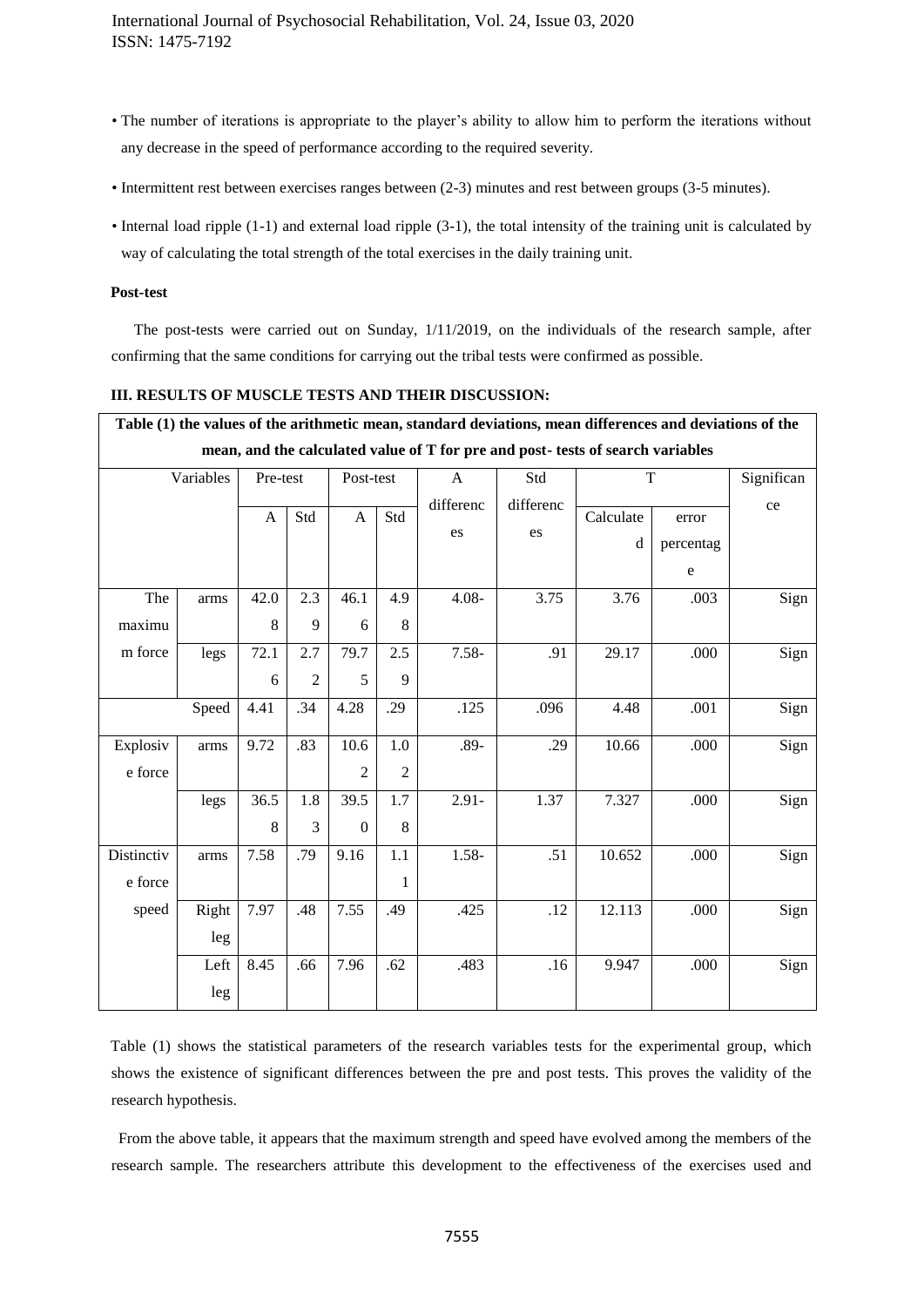- The number of iterations is appropriate to the player's ability to allow him to perform the iterations without any decrease in the speed of performance according to the required severity.
- Intermittent rest between exercises ranges between (2-3) minutes and rest between groups (3-5 minutes).
- Internal load ripple (1-1) and external load ripple (3-1), the total intensity of the training unit is calculated by way of calculating the total strength of the total exercises in the daily training unit.

## **Post-test**

 The post-tests were carried out on Sunday, 1/11/2019, on the individuals of the research sample, after confirming that the same conditions for carrying out the tribal tests were confirmed as possible.

### **III. RESULTS OF MUSCLE TESTS AND THEIR DISCUSSION:**

|            |       |          |                |                |                | Table (1) the values of the arithmetic mean, standard deviations, mean differences and deviations of the |           |           |           |            |
|------------|-------|----------|----------------|----------------|----------------|----------------------------------------------------------------------------------------------------------|-----------|-----------|-----------|------------|
|            |       |          |                |                |                | mean, and the calculated value of T for pre and post- tests of search variables                          |           |           |           |            |
| Variables  |       | Pre-test |                | Post-test      |                | $\mathbf{A}$                                                                                             | Std       | T         |           | Significan |
|            |       | A        | Std            | $\mathbf{A}$   | Std            | differenc                                                                                                | differenc | Calculate | error     | ce         |
|            |       |          |                |                |                | es                                                                                                       | es        | d         | percentag |            |
|            |       |          |                |                |                |                                                                                                          |           |           | ${\bf e}$ |            |
|            |       |          | 2.3            |                | 4.9            |                                                                                                          |           |           |           |            |
| The        | arms  | 42.0     |                | 46.1           |                | $4.08 -$                                                                                                 | 3.75      | 3.76      | .003      | Sign       |
| maximu     |       | 8        | 9              | 6              | 8              |                                                                                                          |           |           |           |            |
| m force    | legs  | 72.1     | 2.7            | 79.7           | 2.5            | $7.58 -$                                                                                                 | .91       | 29.17     | .000      | Sign       |
|            |       | 6        | $\overline{2}$ | 5              | 9              |                                                                                                          |           |           |           |            |
|            | Speed | 4.41     | .34            | 4.28           | .29            | .125                                                                                                     | .096      | 4.48      | .001      | Sign       |
| Explosiv   | arms  | 9.72     | .83            | 10.6           | 1.0            | $.89 -$                                                                                                  | .29       | 10.66     | .000      | Sign       |
| e force    |       |          |                | $\overline{2}$ | $\overline{2}$ |                                                                                                          |           |           |           |            |
|            | legs  | 36.5     | 1.8            | 39.5           | 1.7            | $2.91 -$                                                                                                 | 1.37      | 7.327     | .000      | Sign       |
|            |       | 8        | 3              | $\Omega$       | 8              |                                                                                                          |           |           |           |            |
| Distinctiv | arms  | 7.58     | .79            | 9.16           | 1.1            | 1.58-                                                                                                    | .51       | 10.652    | .000      | Sign       |
| e force    |       |          |                |                | 1              |                                                                                                          |           |           |           |            |
| speed      | Right | 7.97     | .48            | 7.55           | .49            | .425                                                                                                     | .12       | 12.113    | .000      | Sign       |
|            | leg   |          |                |                |                |                                                                                                          |           |           |           |            |
|            | Left  | 8.45     | .66            | 7.96           | .62            | .483                                                                                                     | .16       | 9.947     | .000      | Sign       |
|            | leg   |          |                |                |                |                                                                                                          |           |           |           |            |

Table (1) shows the statistical parameters of the research variables tests for the experimental group, which shows the existence of significant differences between the pre and post tests. This proves the validity of the research hypothesis.

 From the above table, it appears that the maximum strength and speed have evolved among the members of the research sample. The researchers attribute this development to the effectiveness of the exercises used and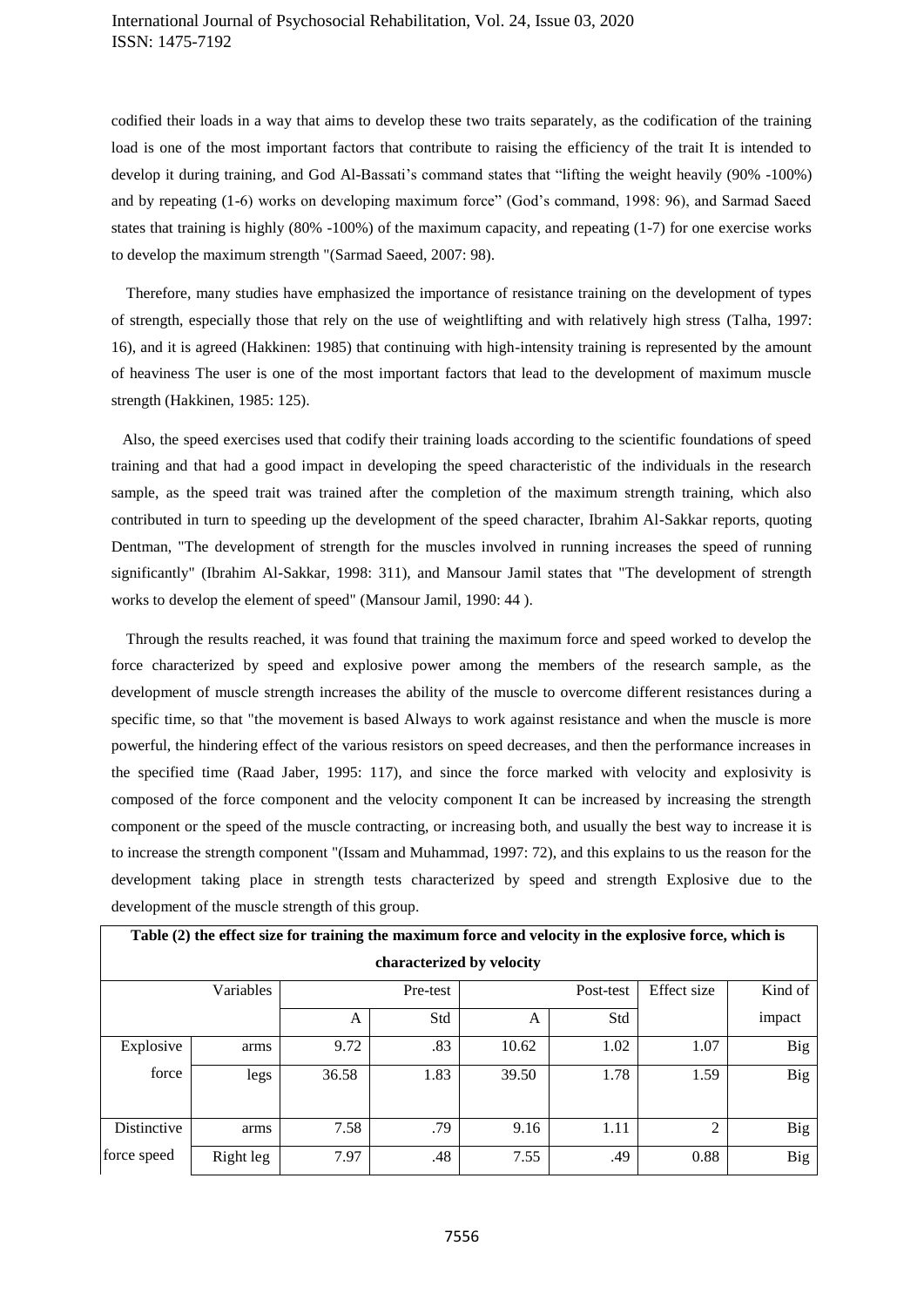## International Journal of Psychosocial Rehabilitation, Vol. 24, Issue 03, 2020 ISSN: 1475-7192

codified their loads in a way that aims to develop these two traits separately, as the codification of the training load is one of the most important factors that contribute to raising the efficiency of the trait It is intended to develop it during training, and God Al-Bassati's command states that "lifting the weight heavily (90% -100%) and by repeating (1-6) works on developing maximum force" (God's command, 1998: 96), and Sarmad Saeed states that training is highly (80% -100%) of the maximum capacity, and repeating (1-7) for one exercise works to develop the maximum strength "(Sarmad Saeed, 2007: 98).

 Therefore, many studies have emphasized the importance of resistance training on the development of types of strength, especially those that rely on the use of weightlifting and with relatively high stress (Talha, 1997: 16), and it is agreed (Hakkinen: 1985) that continuing with high-intensity training is represented by the amount of heaviness The user is one of the most important factors that lead to the development of maximum muscle strength (Hakkinen, 1985: 125).

 Also, the speed exercises used that codify their training loads according to the scientific foundations of speed training and that had a good impact in developing the speed characteristic of the individuals in the research sample, as the speed trait was trained after the completion of the maximum strength training, which also contributed in turn to speeding up the development of the speed character, Ibrahim Al-Sakkar reports, quoting Dentman, "The development of strength for the muscles involved in running increases the speed of running significantly" (Ibrahim Al-Sakkar, 1998: 311), and Mansour Jamil states that "The development of strength works to develop the element of speed" (Mansour Jamil, 1990: 44 ).

 Through the results reached, it was found that training the maximum force and speed worked to develop the force characterized by speed and explosive power among the members of the research sample, as the development of muscle strength increases the ability of the muscle to overcome different resistances during a specific time, so that "the movement is based Always to work against resistance and when the muscle is more powerful, the hindering effect of the various resistors on speed decreases, and then the performance increases in the specified time (Raad Jaber, 1995: 117), and since the force marked with velocity and explosivity is composed of the force component and the velocity component It can be increased by increasing the strength component or the speed of the muscle contracting, or increasing both, and usually the best way to increase it is to increase the strength component "(Issam and Muhammad, 1997: 72), and this explains to us the reason for the development taking place in strength tests characterized by speed and strength Explosive due to the development of the muscle strength of this group.

| Table (2) the effect size for training the maximum force and velocity in the explosive force, which is |           |       |                           |       |           |                |            |  |
|--------------------------------------------------------------------------------------------------------|-----------|-------|---------------------------|-------|-----------|----------------|------------|--|
|                                                                                                        |           |       | characterized by velocity |       |           |                |            |  |
|                                                                                                        | Variables |       | Pre-test                  |       | Post-test | Effect size    | Kind of    |  |
|                                                                                                        |           | A     | Std                       | A     | Std       |                | impact     |  |
| Explosive                                                                                              | arms      | 9.72  | .83                       | 10.62 | 1.02      | 1.07           | <b>Big</b> |  |
| force                                                                                                  | legs      | 36.58 | 1.83                      | 39.50 | 1.78      | 1.59           | <b>Big</b> |  |
| Distinctive                                                                                            | arms      | 7.58  | .79                       | 9.16  | 1.11      | $\overline{2}$ | <b>Big</b> |  |
| force speed                                                                                            | Right leg | 7.97  | .48                       | 7.55  | .49       | 0.88           | <b>Big</b> |  |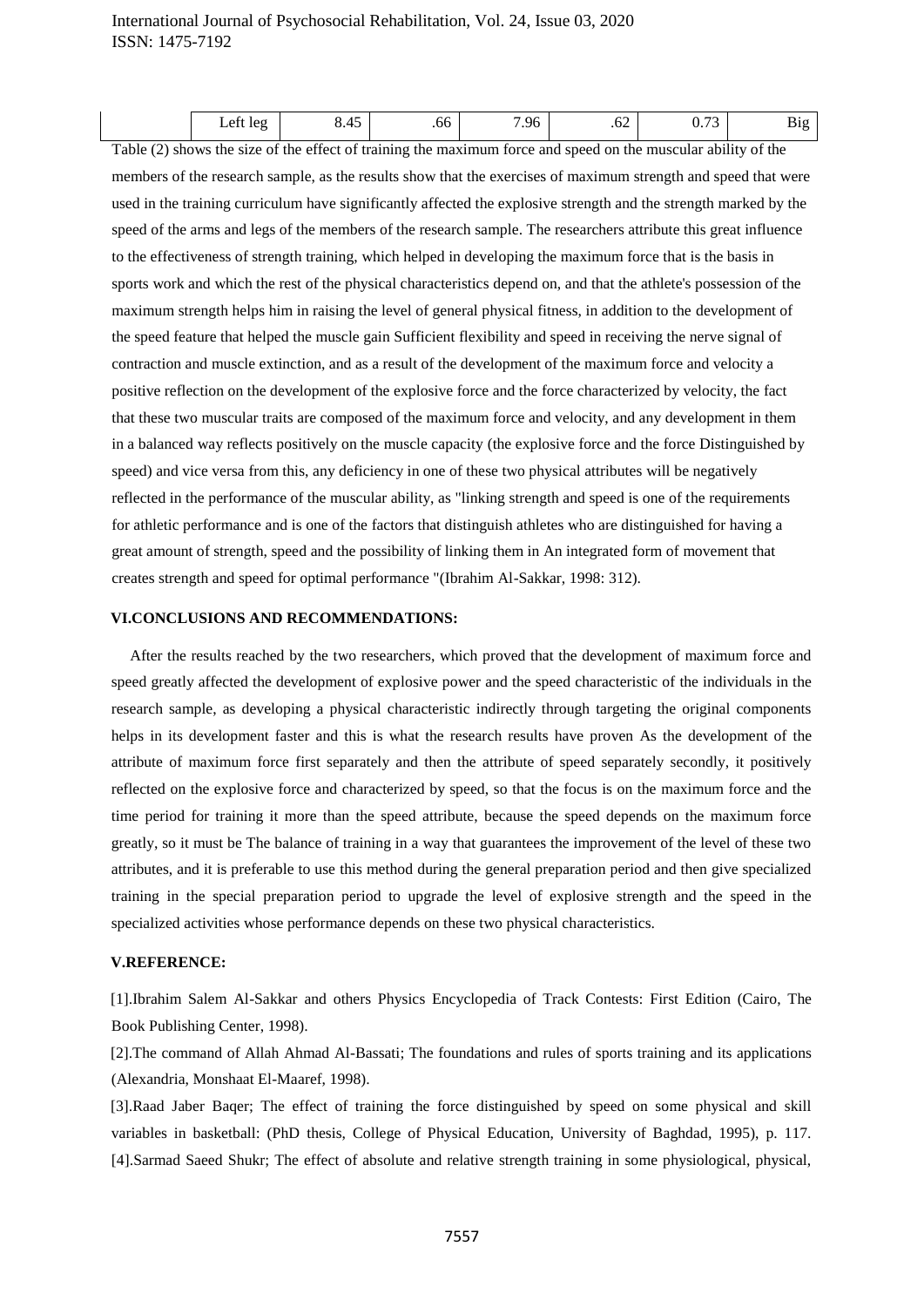# International Journal of Psychosocial Rehabilitation, Vol. 24, Issue 03, 2020 ISSN: 1475-7192

| . .<br>$Q_f$<br>-<br>$\sim$<br>10 <sup>o</sup><br>.oc<br>.v4<br>. .<br>---- |
|-----------------------------------------------------------------------------|
|-----------------------------------------------------------------------------|

Table (2) shows the size of the effect of training the maximum force and speed on the muscular ability of the members of the research sample, as the results show that the exercises of maximum strength and speed that were used in the training curriculum have significantly affected the explosive strength and the strength marked by the speed of the arms and legs of the members of the research sample. The researchers attribute this great influence to the effectiveness of strength training, which helped in developing the maximum force that is the basis in sports work and which the rest of the physical characteristics depend on, and that the athlete's possession of the maximum strength helps him in raising the level of general physical fitness, in addition to the development of the speed feature that helped the muscle gain Sufficient flexibility and speed in receiving the nerve signal of contraction and muscle extinction, and as a result of the development of the maximum force and velocity a positive reflection on the development of the explosive force and the force characterized by velocity, the fact that these two muscular traits are composed of the maximum force and velocity, and any development in them in a balanced way reflects positively on the muscle capacity (the explosive force and the force Distinguished by speed) and vice versa from this, any deficiency in one of these two physical attributes will be negatively reflected in the performance of the muscular ability, as "linking strength and speed is one of the requirements for athletic performance and is one of the factors that distinguish athletes who are distinguished for having a great amount of strength, speed and the possibility of linking them in An integrated form of movement that creates strength and speed for optimal performance "(Ibrahim Al-Sakkar, 1998: 312).

## **VI.CONCLUSIONS AND RECOMMENDATIONS:**

 After the results reached by the two researchers, which proved that the development of maximum force and speed greatly affected the development of explosive power and the speed characteristic of the individuals in the research sample, as developing a physical characteristic indirectly through targeting the original components helps in its development faster and this is what the research results have proven As the development of the attribute of maximum force first separately and then the attribute of speed separately secondly, it positively reflected on the explosive force and characterized by speed, so that the focus is on the maximum force and the time period for training it more than the speed attribute, because the speed depends on the maximum force greatly, so it must be The balance of training in a way that guarantees the improvement of the level of these two attributes, and it is preferable to use this method during the general preparation period and then give specialized training in the special preparation period to upgrade the level of explosive strength and the speed in the specialized activities whose performance depends on these two physical characteristics.

## **V.REFERENCE:**

[1].Ibrahim Salem Al-Sakkar and others Physics Encyclopedia of Track Contests: First Edition (Cairo, The Book Publishing Center, 1998).

[2].The command of Allah Ahmad Al-Bassati; The foundations and rules of sports training and its applications (Alexandria, Monshaat El-Maaref, 1998).

[3].Raad Jaber Baqer; The effect of training the force distinguished by speed on some physical and skill variables in basketball: (PhD thesis, College of Physical Education, University of Baghdad, 1995), p. 117. [4].Sarmad Saeed Shukr; The effect of absolute and relative strength training in some physiological, physical,